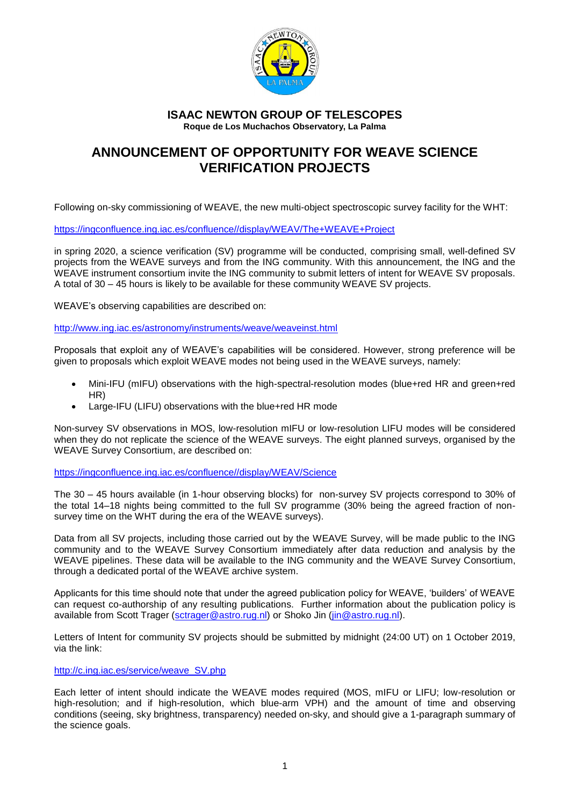

## **ISAAC NEWTON GROUP OF TELESCOPES Roque de Los Muchachos Observatory, La Palma**

## **ANNOUNCEMENT OF OPPORTUNITY FOR WEAVE SCIENCE VERIFICATION PROJECTS**

Following on-sky commissioning of WEAVE, the new multi-object spectroscopic survey facility for the WHT:

[https://ingconfluence.ing.iac.es/confluence//display/WEAV/The+WEAVE+Project](https://ingconfluence.ing.iac.es/confluence/display/WEAV/The+WEAVE+Project)

in spring 2020, a science verification (SV) programme will be conducted, comprising small, well-defined SV projects from the WEAVE surveys and from the ING community. With this announcement, the ING and the WEAVE instrument consortium invite the ING community to submit letters of intent for WEAVE SV proposals. A total of 30 – 45 hours is likely to be available for these community WEAVE SV projects.

WEAVE's observing capabilities are described on:

<http://www.ing.iac.es/astronomy/instruments/weave/weaveinst.html>

Proposals that exploit any of WEAVE's capabilities will be considered. However, strong preference will be given to proposals which exploit WEAVE modes not being used in the WEAVE surveys, namely:

- Mini-IFU (mIFU) observations with the high-spectral-resolution modes (blue+red HR and green+red HR)
- Large-IFU (LIFU) observations with the blue+red HR mode

Non-survey SV observations in MOS, low-resolution mIFU or low-resolution LIFU modes will be considered when they do not replicate the science of the WEAVE surveys. The eight planned surveys, organised by the WEAVE Survey Consortium, are described on:

[https://ingconfluence.ing.iac.es/confluence//display/WEAV/Science](https://ingconfluence.ing.iac.es/confluence/display/WEAV/Science)

The 30 – 45 hours available (in 1-hour observing blocks) for non-survey SV projects correspond to 30% of the total 14–18 nights being committed to the full SV programme (30% being the agreed fraction of nonsurvey time on the WHT during the era of the WEAVE surveys).

Data from all SV projects, including those carried out by the WEAVE Survey, will be made public to the ING community and to the WEAVE Survey Consortium immediately after data reduction and analysis by the WEAVE pipelines. These data will be available to the ING community and the WEAVE Survey Consortium, through a dedicated portal of the WEAVE archive system.

Applicants for this time should note that under the agreed publication policy for WEAVE, 'builders' of WEAVE can request co-authorship of any resulting publications. Further information about the publication policy is available from Scott Trager [\(sctrager@astro.rug.nl\)](mailto:sctrager@astro.rug.nl) or Shoko Jin [\(jin@astro.rug.nl\)](mailto:jin@astro.rug.nl).

Letters of Intent for community SV projects should be submitted by midnight (24:00 UT) on 1 October 2019, via the link:

## [http://c.ing.iac.es/service/weave\\_SV.php](http://c.ing.iac.es/service/weave_SV.php)

Each letter of intent should indicate the WEAVE modes required (MOS, mIFU or LIFU; low-resolution or high-resolution; and if high-resolution, which blue-arm VPH) and the amount of time and observing conditions (seeing, sky brightness, transparency) needed on-sky, and should give a 1-paragraph summary of the science goals.